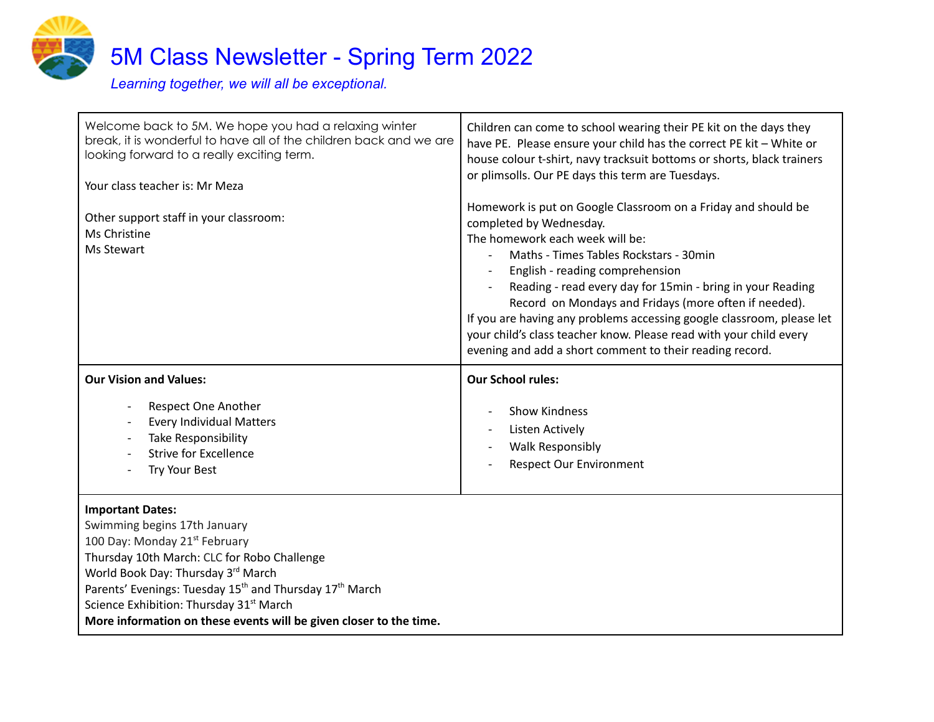

Welcome back to 5M. We hope you had a relaxing winter break, it is wonderful to have all of the children back and we are looking forward to a really exciting term. Your class teacher is: Mr Meza Other support staff in your classroom: Ms Christine Ms Stewart Children can come to school wearing their PE kit on the days they have PE. Please ensure your child has the correct PE kit – White or house colour t-shirt, navy tracksuit bottoms or shorts, black trainers or plimsolls. Our PE days this term are Tuesdays. Homework is put on Google Classroom on a Friday and should be completed by Wednesday. The homework each week will be: - Maths - Times Tables Rockstars - 30min - English - reading comprehension - Reading - read every day for 15min - bring in your Reading Record on Mondays and Fridays (more often if needed). If you are having any problems accessing google classroom, please let your child's class teacher know. Please read with your child every evening and add a short comment to their reading record. **Our Vision and Values:** Respect One Another Every Individual Matters Take Responsibility Strive for Excellence Try Your Best **Our School rules:** - Show Kindness Listen Actively - Walk Responsibly Respect Our Environment

## **Important Dates:**

Swimming begins 17th January 100 Day: Monday 21<sup>st</sup> February Thursday 10th March: CLC for Robo Challenge World Book Day: Thursday 3<sup>rd</sup> March Parents' Evenings: Tuesday 15<sup>th</sup> and Thursday 17<sup>th</sup> March Science Exhibition: Thursday 31<sup>st</sup> March **More information on these events will be given closer to the time.**